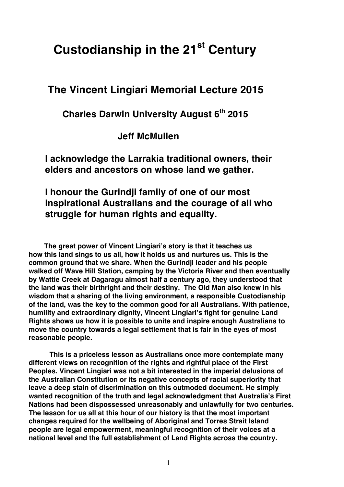## **Custodianship in the 21st Century**

## **The Vincent Lingiari Memorial Lecture 2015**

## **Charles Darwin University August 6th 2015**

 **Jeff McMullen**

**I acknowledge the Larrakia traditional owners, their elders and ancestors on whose land we gather.**

## **I honour the Gurindji family of one of our most inspirational Australians and the courage of all who struggle for human rights and equality.**

 **The great power of Vincent Lingiari's story is that it teaches us how this land sings to us all, how it holds us and nurtures us. This is the common ground that we share. When the Gurindji leader and his people walked off Wave Hill Station, camping by the Victoria River and then eventually by Wattie Creek at Dagaragu almost half a century ago, they understood that the land was their birthright and their destiny. The Old Man also knew in his wisdom that a sharing of the living environment, a responsible Custodianship of the land, was the key to the common good for all Australians. With patience, humility and extraordinary dignity, Vincent Lingiari's fight for genuine Land Rights shows us how it is possible to unite and inspire enough Australians to move the country towards a legal settlement that is fair in the eyes of most reasonable people.**

**This is a priceless lesson as Australians once more contemplate many different views on recognition of the rights and rightful place of the First Peoples. Vincent Lingiari was not a bit interested in the imperial delusions of the Australian Constitution or its negative concepts of racial superiority that leave a deep stain of discrimination on this outmoded document. He simply wanted recognition of the truth and legal acknowledgment that Australia's First Nations had been dispossessed unreasonably and unlawfully for two centuries. The lesson for us all at this hour of our history is that the most important changes required for the wellbeing of Aboriginal and Torres Strait Island people are legal empowerment, meaningful recognition of their voices at a national level and the full establishment of Land Rights across the country.**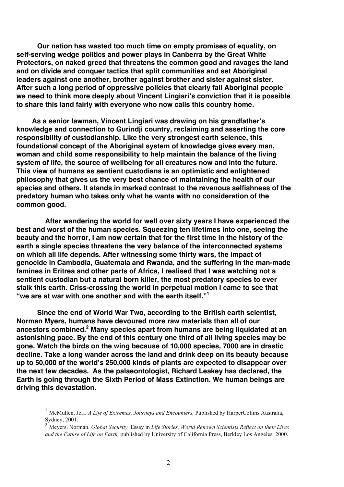**Our nation has wasted too much time on empty promises of equality, on self-serving wedge politics and power plays in Canberra by the Great White Protectors, on naked greed that threatens the common good and ravages the land and on divide and conquer tactics that split communities and set Aboriginal leaders against one another, brother against brother and sister against sister. After such a long period of oppressive policies that clearly fail Aboriginal people we need to think more deeply about Vincent Lingiari's conviction that it is possible to share this land fairly with everyone who now calls this country home.**

 **As a senior lawman, Vincent Lingiari was drawing on his grandfather's knowledge and connection to Gurindji country, reclaiming and asserting the core responsibility of custodianship. Like the very strongest earth science, this foundational concept of the Aboriginal system of knowledge gives every man, woman and child some responsibility to help maintain the balance of the living system of life, the source of wellbeing for all creatures now and into the future. This view of humans as sentient custodians is an optimistic and enlightened philosophy that gives us the very best chance of maintaining the health of our species and others. It stands in marked contrast to the ravenous selfishness of the predatory human who takes only what he wants with no consideration of the common good.**

 **After wandering the world for well over sixty years I have experienced the best and worst of the human species. Squeezing ten lifetimes into one, seeing the beauty and the horror, I am now certain that for the first time in the history of the earth a single species threatens the very balance of the interconnected systems on which all life depends. After witnessing some thirty wars, the impact of genocide in Cambodia, Guatemala and Rwanda, and the suffering in the man-made famines in Eritrea and other parts of Africa, I realised that I was watching not a sentient custodian but a natural born killer, the most predatory species to ever stalk this earth. Criss-crossing the world in perpetual motion I came to see that "we are at war with one another and with the earth itself."<sup>1</sup>**

**Since the end of World War Two, according to the British earth scientist, Norman Myers, humans have devoured more raw materials than all of our ancestors combined.<sup>2</sup> Many species apart from humans are being liquidated at an astonishing pace. By the end of this century one third of all living species may be gone. Watch the birds on the wing because of 10,000 species, 7000 are in drastic decline. Take a long wander across the land and drink deep on its beauty because up to 50,000 of the world's 250,000 kinds of plants are expected to disappear over the next few decades. As the palaeontologist, Richard Leakey has declared, the Earth is going through the Sixth Period of Mass Extinction. We human beings are driving this devastation.** 

<sup>&</sup>lt;sup>1</sup> McMullen, Jeff. *A Life of Extremes, Journeys and Encounters, Published by HarperCollins Australia,* Sydney,  $2001$ .

<sup>2</sup> Meyers, Norman. *Global Security,* Essay in *Life Stories, World Renown Scientists Reflect on their Lives and the Future of Life on Earth,* published by University of California Press, Berkley Los Angeles, 2000.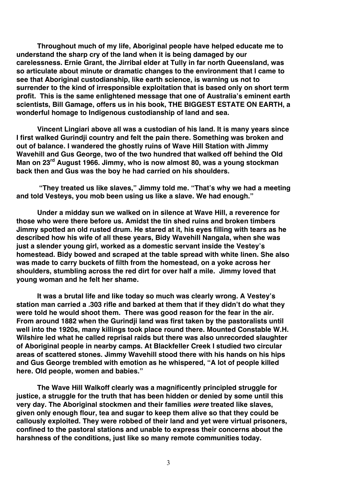**Throughout much of my life, Aboriginal people have helped educate me to understand the sharp cry of the land when it is being damaged by our carelessness. Ernie Grant, the Jirribal elder at Tully in far north Queensland, was so articulate about minute or dramatic changes to the environment that I came to see that Aboriginal custodianship, like earth science, is warning us not to surrender to the kind of irresponsible exploitation that is based only on short term profit. This is the same enlightened message that one of Australia's eminent earth scientists, Bill Gamage, offers us in his book, THE BIGGEST ESTATE ON EARTH, a wonderful homage to Indigenous custodianship of land and sea.**

**Vincent Lingiari above all was a custodian of his land. It is many years since I first walked Gurindji country and felt the pain there. Something was broken and out of balance. I wandered the ghostly ruins of Wave Hill Station with Jimmy Wavehill and Gus George, two of the two hundred that walked off behind the Old Man on 23rd August 1966. Jimmy, who is now almost 80, was a young stockman back then and Gus was the boy he had carried on his shoulders.** 

**"They treated us like slaves," Jimmy told me. "That's why we had a meeting and told Vesteys, you mob been using us like a slave. We had enough."**

**Under a midday sun we walked on in silence at Wave Hill, a reverence for those who were there before us. Amidst the tin shed ruins and broken timbers Jimmy spotted an old rusted drum. He stared at it, his eyes filling with tears as he described how his wife of all these years, Bidy Wavehill Nangala, when she was just a slender young girl, worked as a domestic servant inside the Vestey's homestead. Bidy bowed and scraped at the table spread with white linen. She also was made to carry buckets of filth from the homestead, on a yoke across her shoulders, stumbling across the red dirt for over half a mile. Jimmy loved that young woman and he felt her shame.**

**It was a brutal life and like today so much was clearly wrong. A Vestey's station man carried a .303 rifle and barked at them that if they didn't do what they were told he would shoot them. There was good reason for the fear in the air. From around 1882 when the Gurindji land was first taken by the pastoralists until well into the 1920s, many killings took place round there. Mounted Constable W.H. Wilshire led what he called reprisal raids but there was also unrecorded slaughter of Aboriginal people in nearby camps. At Blackfeller Creek I studied two circular areas of scattered stones. Jimmy Wavehill stood there with his hands on his hips and Gus George trembled with emotion as he whispered, "A lot of people killed here. Old people, women and babies."**

**The Wave Hill Walkoff clearly was a magnificently principled struggle for justice, a struggle for the truth that has been hidden or denied by some until this very day. The Aboriginal stockmen and their families** *were* **treated like slaves, given only enough flour, tea and sugar to keep them alive so that they could be callously exploited. They were robbed of their land and yet were virtual prisoners, confined to the pastoral stations and unable to express their concerns about the harshness of the conditions, just like so many remote communities today.**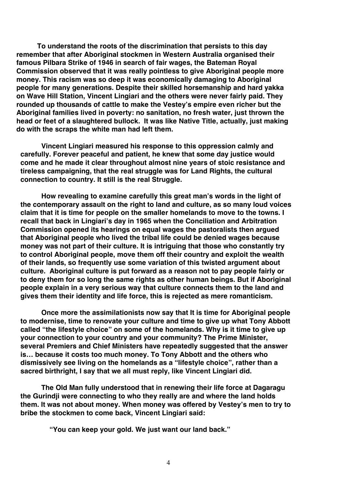**To understand the roots of the discrimination that persists to this day remember that after Aboriginal stockmen in Western Australia organised their famous Pilbara Strike of 1946 in search of fair wages, the Bateman Royal Commission observed that it was really pointless to give Aboriginal people more money. This racism was so deep it was economically damaging to Aboriginal people for many generations. Despite their skilled horsemanship and hard yakka on Wave Hill Station, Vincent Lingiari and the others were never fairly paid. They rounded up thousands of cattle to make the Vestey's empire even richer but the Aboriginal families lived in poverty: no sanitation, no fresh water, just thrown the head or feet of a slaughtered bullock. It was like Native Title, actually, just making do with the scraps the white man had left them.**

**Vincent Lingiari measured his response to this oppression calmly and carefully. Forever peaceful and patient, he knew that some day justice would come and he made it clear throughout almost nine years of stoic resistance and tireless campaigning, that the real struggle was for Land Rights, the cultural connection to country. It still is the real Struggle.**

**How revealing to examine carefully this great man's words in the light of the contemporary assault on the right to land and culture, as so many loud voices claim that it is time for people on the smaller homelands to move to the towns. I recall that back in Lingiari's day in 1965 when the Conciliation and Arbitration Commission opened its hearings on equal wages the pastoralists then argued that Aboriginal people who lived the tribal life could be denied wages because money was not part of their culture. It is intriguing that those who constantly try to control Aboriginal people, move them off their country and exploit the wealth of their lands, so frequently use some variation of this twisted argument about culture. Aboriginal culture is put forward as a reason not to pay people fairly or to deny them for so long the same rights as other human beings. But if Aboriginal people explain in a very serious way that culture connects them to the land and gives them their identity and life force, this is rejected as mere romanticism.** 

**Once more the assimilationists now say that It is time for Aboriginal people to modernise, time to renovate your culture and time to give up what Tony Abbott called "the lifestyle choice" on some of the homelands. Why is it time to give up your connection to your country and your community? The Prime Minister, several Premiers and Chief Ministers have repeatedly suggested that the answer is… because it costs too much money. To Tony Abbott and the others who dismissively see living on the homelands as a "lifestyle choice", rather than a sacred birthright, I say that we all must reply, like Vincent Lingiari did.**

**The Old Man fully understood that in renewing their life force at Dagaragu the Gurindji were connecting to who they really are and where the land holds them. It was not about money. When money was offered by Vestey's men to try to bribe the stockmen to come back, Vincent Lingiari said:**

**"You can keep your gold. We just want our land back."**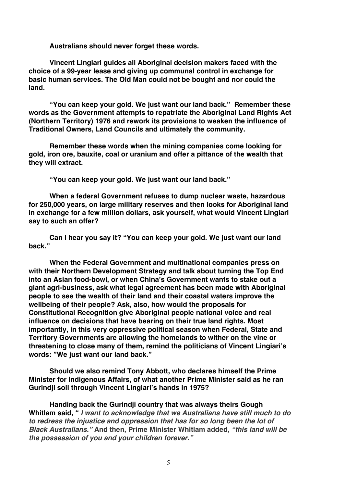**Australians should never forget these words.**

**Vincent Lingiari guides all Aboriginal decision makers faced with the choice of a 99-year lease and giving up communal control in exchange for basic human services. The Old Man could not be bought and nor could the land.**

**"You can keep your gold. We just want our land back." Remember these words as the Government attempts to repatriate the Aboriginal Land Rights Act (Northern Territory) 1976 and rework its provisions to weaken the influence of Traditional Owners, Land Councils and ultimately the community.** 

**Remember these words when the mining companies come looking for gold, iron ore, bauxite, coal or uranium and offer a pittance of the wealth that they will extract.**

**"You can keep your gold. We just want our land back."**

**When a federal Government refuses to dump nuclear waste, hazardous for 250,000 years, on large military reserves and then looks for Aboriginal land in exchange for a few million dollars, ask yourself, what would Vincent Lingiari say to such an offer?**

**Can I hear you say it? "You can keep your gold. We just want our land back."**

**When the Federal Government and multinational companies press on with their Northern Development Strategy and talk about turning the Top End into an Asian food-bowl, or when China's Government wants to stake out a giant agri-business, ask what legal agreement has been made with Aboriginal people to see the wealth of their land and their coastal waters improve the wellbeing of their people? Ask, also, how would the proposals for Constitutional Recognition give Aboriginal people national voice and real influence on decisions that have bearing on their true land rights. Most importantly, in this very oppressive political season when Federal, State and Territory Governments are allowing the homelands to wither on the vine or threatening to close many of them, remind the politicians of Vincent Lingiari's words: "We just want our land back."**

**Should we also remind Tony Abbott, who declares himself the Prime Minister for Indigenous Affairs, of what another Prime Minister said as he ran Gurindji soil through Vincent Lingiari's hands in 1975?**

**Handing back the Gurindji country that was always theirs Gough Whitlam said, "** *I want to acknowledge that we Australians have still much to do to redress the injustice and oppression that has for so long been the lot of Black Australians."* **And then, Prime Minister Whitlam added***, "this land will be the possession of you and your children forever."*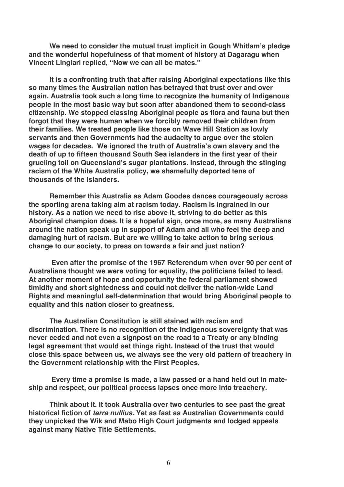**We need to consider the mutual trust implicit in Gough Whitlam's pledge and the wonderful hopefulness of that moment of history at Dagaragu when Vincent Lingiari replied, "Now we can all be mates."** 

**It is a confronting truth that after raising Aboriginal expectations like this so many times the Australian nation has betrayed that trust over and over again. Australia took such a long time to recognize the humanity of Indigenous people in the most basic way but soon after abandoned them to second-class citizenship. We stopped classing Aboriginal people as flora and fauna but then forgot that they were human when we forcibly removed their children from their families. We treated people like those on Wave Hill Station as lowly servants and then Governments had the audacity to argue over the stolen wages for decades. We ignored the truth of Australia's own slavery and the death of up to fifteen thousand South Sea islanders in the first year of their grueling toil on Queensland's sugar plantations. Instead, through the stinging racism of the White Australia policy, we shamefully deported tens of thousands of the Islanders.**

**Remember this Australia as Adam Goodes dances courageously across the sporting arena taking aim at racism today. Racism is ingrained in our history. As a nation we need to rise above it, striving to do better as this Aboriginal champion does. It is a hopeful sign, once more, as many Australians around the nation speak up in support of Adam and all who feel the deep and damaging hurt of racism. But are we willing to take action to bring serious change to our society, to press on towards a fair and just nation?**

**Even after the promise of the 1967 Referendum when over 90 per cent of Australians thought we were voting for equality, the politicians failed to lead. At another moment of hope and opportunity the federal parliament showed timidity and short sightedness and could not deliver the nation-wide Land Rights and meaningful self-determination that would bring Aboriginal people to equality and this nation closer to greatness.** 

**The Australian Constitution is still stained with racism and discrimination. There is no recognition of the Indigenous sovereignty that was never ceded and not even a signpost on the road to a Treaty or any binding legal agreement that would set things right. Instead of the trust that would close this space between us, we always see the very old pattern of treachery in the Government relationship with the First Peoples.**

 **Every time a promise is made, a law passed or a hand held out in mateship and respect, our political process lapses once more into treachery.**

**Think about it. It took Australia over two centuries to see past the great historical fiction of** *terra nullius.* **Yet as fast as Australian Governments could they unpicked the Wik and Mabo High Court judgments and lodged appeals against many Native Title Settlements.**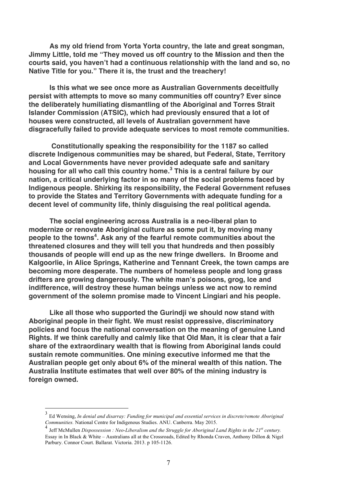**As my old friend from Yorta Yorta country, the late and great songman, Jimmy Little, told me "They moved us off country to the Mission and then the courts said, you haven't had a continuous relationship with the land and so, no Native Title for you." There it is, the trust and the treachery!**

**Is this what we see once more as Australian Governments deceitfully persist with attempts to move so many communities off country? Ever since the deliberately humiliating dismantling of the Aboriginal and Torres Strait Islander Commission (ATSIC), which had previously ensured that a lot of houses were constructed, all levels of Australian government have disgracefully failed to provide adequate services to most remote communities.**

 **Constitutionally speaking the responsibility for the 1187 so called discrete Indigenous communities may be shared, but Federal, State, Territory and Local Governments have never provided adequate safe and sanitary housing for all who call this country home. 3 This is a central failure by our nation, a critical underlying factor in so many of the social problems faced by Indigenous people. Shirking its responsibility, the Federal Government refuses to provide the States and Territory Governments with adequate funding for a decent level of community life, thinly disguising the real political agenda.** 

**The social engineering across Australia is a neo-liberal plan to modernize or renovate Aboriginal culture as some put it, by moving many people to the towns<sup>4</sup> . Ask any of the fearful remote communities about the threatened closures and they will tell you that hundreds and then possibly thousands of people will end up as the new fringe dwellers. In Broome and Kalgoorlie, in Alice Springs, Katherine and Tennant Creek, the town camps are becoming more desperate. The numbers of homeless people and long grass drifters are growing dangerously. The white man's poisons, grog, Ice and indifference, will destroy these human beings unless we act now to remind government of the solemn promise made to Vincent Lingiari and his people.**

**Like all those who supported the Gurindji we should now stand with Aboriginal people in their fight. We must resist oppressive, discriminatory policies and focus the national conversation on the meaning of genuine Land Rights. If we think carefully and calmly like that Old Man, it is clear that a fair share of the extraordinary wealth that is flowing from Aboriginal lands could sustain remote communities. One mining executive informed me that the Australian people get only about 6% of the mineral wealth of this nation. The Australia Institute estimates that well over 80% of the mining industry is foreign owned.** 

 <sup>3</sup> Ed Wensing, *In denial and disarray: Funding for municipal and essential services in discrete/remote Aboriginal Communities.* National Centre for Indigenous Studies. ANU. Canberra. May 2015.

<sup>4</sup> Jeff McMullen *Dispossession : Neo-Liberalism and the Struggle for Aboriginal Land Rights in the 21st century.* Essay in In Black & White – Australians all at the Crossroads, Edited by Rhonda Craven, Anthony Dillon & Nigel Parbury. Connor Court. Ballarat. Victoria. 2013. p 105-1126.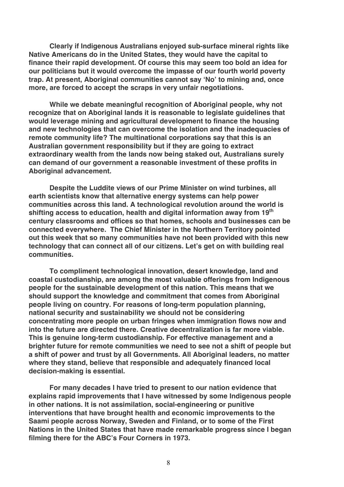**Clearly if Indigenous Australians enjoyed sub-surface mineral rights like Native Americans do in the United States, they would have the capital to finance their rapid development. Of course this may seem too bold an idea for our politicians but it would overcome the impasse of our fourth world poverty trap. At present, Aboriginal communities cannot say ʻNo' to mining and, once more, are forced to accept the scraps in very unfair negotiations.** 

**While we debate meaningful recognition of Aboriginal people, why not recognize that on Aboriginal lands it is reasonable to legislate guidelines that would leverage mining and agricultural development to finance the housing and new technologies that can overcome the isolation and the inadequacies of remote community life? The multinational corporations say that this is an Australian government responsibility but if they are going to extract extraordinary wealth from the lands now being staked out, Australians surely can demand of our government a reasonable investment of these profits in Aboriginal advancement.**

**Despite the Luddite views of our Prime Minister on wind turbines, all earth scientists know that alternative energy systems can help power communities across this land. A technological revolution around the world is shifting access to education, health and digital information away from 19th century classrooms and offices so that homes, schools and businesses can be connected everywhere. The Chief Minister in the Northern Territory pointed out this week that so many communities have not been provided with this new technology that can connect all of our citizens. Let's get on with building real communities.**

**To compliment technological innovation, desert knowledge, land and coastal custodianship, are among the most valuable offerings from Indigenous people for the sustainable development of this nation. This means that we should support the knowledge and commitment that comes from Aboriginal people living on country. For reasons of long-term population planning, national security and sustainability we should not be considering concentrating more people on urban fringes when immigration flows now and into the future are directed there. Creative decentralization is far more viable. This is genuine long-term custodianship. For effective management and a brighter future for remote communities we need to see not a shift of people but a shift of power and trust by all Governments. All Aboriginal leaders, no matter where they stand, believe that responsible and adequately financed local decision-making is essential.** 

**For many decades I have tried to present to our nation evidence that explains rapid improvements that I have witnessed by some Indigenous people in other nations. It is not assimilation, social-engineering or punitive interventions that have brought health and economic improvements to the Saami people across Norway, Sweden and Finland, or to some of the First Nations in the United States that have made remarkable progress since I began filming there for the ABC's Four Corners in 1973.**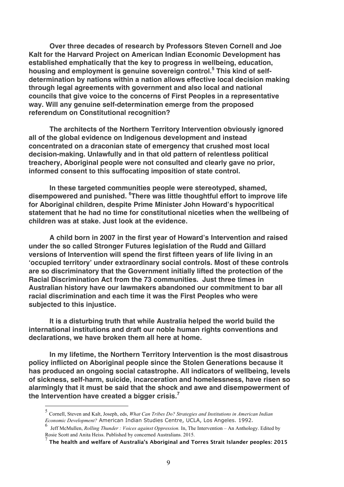**Over three decades of research by Professors Steven Cornell and Joe Kalt for the Harvard Project on American Indian Economic Development has established emphatically that the key to progress in wellbeing, education, housing and employment is genuine sovereign control.<sup>5</sup> This kind of selfdetermination by nations within a nation allows effective local decision making through legal agreements with government and also local and national councils that give voice to the concerns of First Peoples in a representative way. Will any genuine self-determination emerge from the proposed referendum on Constitutional recognition?** 

**The architects of the Northern Territory Intervention obviously ignored all of the global evidence on Indigenous development and instead concentrated on a draconian state of emergency that crushed most local decision-making. Unlawfully and in that old pattern of relentless political treachery, Aboriginal people were not consulted and clearly gave no prior, informed consent to this suffocating imposition of state control.** 

**In these targeted communities people were stereotyped, shamed, disempowered and punished. <sup>6</sup> There was little thoughtful effort to improve life for Aboriginal children, despite Prime Minister John Howard's hypocritical statement that he had no time for constitutional niceties when the wellbeing of children was at stake. Just look at the evidence.** 

**A child born in 2007 in the first year of Howard's Intervention and raised under the so called Stronger Futures legislation of the Rudd and Gillard versions of Intervention will spend the first fifteen years of life living in an ʻoccupied territory' under extraordinary social controls. Most of these controls are so discriminatory that the Government initially lifted the protection of the Racial Discrimination Act from the 73 communities. Just three times in Australian history have our lawmakers abandoned our commitment to bar all racial discrimination and each time it was the First Peoples who were subjected to this injustice.** 

**It is a disturbing truth that while Australia helped the world build the international institutions and draft our noble human rights conventions and declarations, we have broken them all here at home.** 

**In my lifetime, the Northern Territory Intervention is the most disastrous policy inflicted on Aboriginal people since the Stolen Generations because it has produced an ongoing social catastrophe. All indicators of wellbeing, levels of sickness, self-harm, suicide, incarceration and homelessness, have risen so alarmingly that it must be said that the shock and awe and disempowerment of the Intervention have created a bigger crisis.<sup>7</sup>**

 <sup>5</sup> Cornell, Steven and Kalt, Joseph, eds, *What Can Tribes Do? Strategies and Institutions in American Indian Economic Development?* American Indian Studies Centre, UCLA, Los Angeles. 1992.

<sup>6</sup> Jeff McMullen, *Rolling Thunder : Voices against Oppression.* In, The Intervention – An Anthology. Edited by Rosie Scott and Anita Heiss. Published by concerned Australians. 2015.

<sup>7</sup> **The health and welfare of Australia's Aboriginal and Torres Strait Islander peoples: 2015**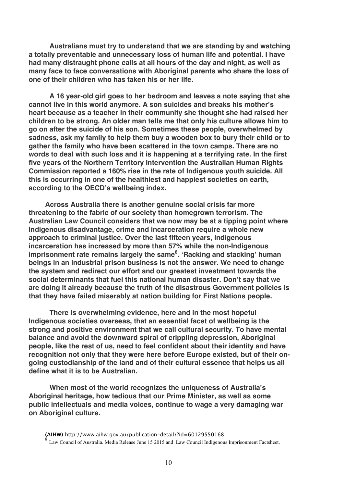**Australians must try to understand that we are standing by and watching a totally preventable and unnecessary loss of human life and potential. I have had many distraught phone calls at all hours of the day and night, as well as many face to face conversations with Aboriginal parents who share the loss of one of their children who has taken his or her life.** 

**A 16 year-old girl goes to her bedroom and leaves a note saying that she cannot live in this world anymore. A son suicides and breaks his mother's heart because as a teacher in their community she thought she had raised her children to be strong. An older man tells me that only his culture allows him to go on after the suicide of his son. Sometimes these people, overwhelmed by sadness, ask my family to help them buy a wooden box to bury their child or to gather the family who have been scattered in the town camps. There are no words to deal with such loss and it is happening at a terrifying rate. In the first five years of the Northern Territory Intervention the Australian Human Rights Commission reported a 160% rise in the rate of Indigenous youth suicide. All this is occurring in one of the healthiest and happiest societies on earth, according to the OECD's wellbeing index.**

**Across Australia there is another genuine social crisis far more threatening to the fabric of our society than homegrown terrorism. The Australian Law Council considers that we now may be at a tipping point where Indigenous disadvantage, crime and incarceration require a whole new approach to criminal justice. Over the last fifteen years, Indigenous incarceration has increased by more than 57% while the non-Indigenous imprisonment rate remains largely the same<sup>8</sup> . ʻRacking and stacking' human beings in an industrial prison business is not the answer. We need to change the system and redirect our effort and our greatest investment towards the social determinants that fuel this national human disaster. Don't say that we are doing it already because the truth of the disastrous Government policies is that they have failed miserably at nation building for First Nations people.**

**There is overwhelming evidence, here and in the most hopeful Indigenous societies overseas, that an essential facet of wellbeing is the strong and positive environment that we call cultural security. To have mental balance and avoid the downward spiral of crippling depression, Aboriginal people, like the rest of us, need to feel confident about their identity and have recognition not only that they were here before Europe existed, but of their ongoing custodianship of the land and of their cultural essence that helps us all define what it is to be Australian.** 

**When most of the world recognizes the uniqueness of Australia's Aboriginal heritage, how tedious that our Prime Minister, as well as some public intellectuals and media voices, continue to wage a very damaging war on Aboriginal culture.**

<u>.</u>

**<sup>(</sup>AIHW)** http://www.aihw.gov.au/publication-detail/?id=60129550168

Law Council of Australia. Media Release June 15 2015 and Law Council Indigenous Imprisonment Factsheet.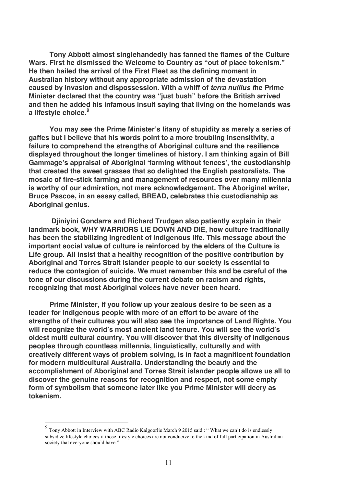**Tony Abbott almost singlehandedly has fanned the flames of the Culture Wars. First he dismissed the Welcome to Country as "out of place tokenism." He then hailed the arrival of the First Fleet as the defining moment in Australian history without any appropriate admission of the devastation caused by invasion and dispossession. With a whiff of** *terra nullius t***he Prime Minister declared that the country was "just bush" before the British arrived and then he added his infamous insult saying that living on the homelands was a lifestyle choice.<sup>9</sup>**

**You may see the Prime Minister's litany of stupidity as merely a series of gaffes but I believe that his words point to a more troubling insensitivity, a failure to comprehend the strengths of Aboriginal culture and the resilience displayed throughout the longer timelines of history. I am thinking again of Bill Gammage's appraisal of Aboriginal ʻfarming without fences', the custodianship that created the sweet grasses that so delighted the English pastoralists. The mosaic of fire-stick farming and management of resources over many millennia is worthy of our admiration, not mere acknowledgement. The Aboriginal writer, Bruce Pascoe, in an essay called, BREAD, celebrates this custodianship as Aboriginal genius.** 

**Djiniyini Gondarra and Richard Trudgen also patiently explain in their landmark book, WHY WARRIORS LIE DOWN AND DIE, how culture traditionally has been the stabilizing ingredient of Indigenous life. This message about the important social value of culture is reinforced by the elders of the Culture is Life group. All insist that a healthy recognition of the positive contribution by Aboriginal and Torres Strait Islander people to our society is essential to reduce the contagion of suicide. We must remember this and be careful of the tone of our discussions during the current debate on racism and rights, recognizing that most Aboriginal voices have never been heard.** 

**Prime Minister, if you follow up your zealous desire to be seen as a leader for Indigenous people with more of an effort to be aware of the strengths of their cultures you will also see the importance of Land Rights. You will recognize the world's most ancient land tenure. You will see the world's oldest multi cultural country. You will discover that this diversity of Indigenous peoples through countless millennia, linguistically, culturally and with creatively different ways of problem solving, is in fact a magnificent foundation for modern multicultural Australia. Understanding the beauty and the accomplishment of Aboriginal and Torres Strait islander people allows us all to discover the genuine reasons for recognition and respect, not some empty form of symbolism that someone later like you Prime Minister will decry as tokenism.**

<sup>&</sup>lt;sup>9</sup> Tony Abbott in Interview with ABC Radio Kalgoorlie March 9 2015 said : "What we can't do is endlessly subsidize lifestyle choices if those lifestyle choices are not conducive to the kind of full participation in Australian society that everyone should have."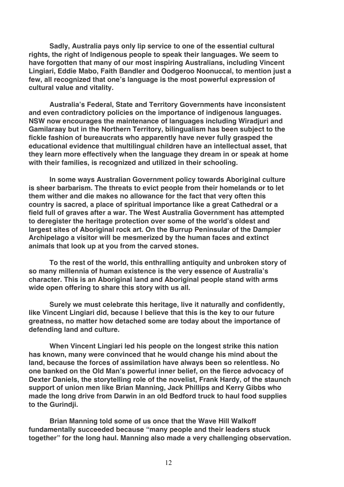**Sadly, Australia pays only lip service to one of the essential cultural rights, the right of Indigenous people to speak their languages. We seem to have forgotten that many of our most inspiring Australians, including Vincent Lingiari, Eddie Mabo, Faith Bandler and Oodgeroo Noonuccal, to mention just a few, all recognized that one's language is the most powerful expression of cultural value and vitality.** 

**Australia's Federal, State and Territory Governments have inconsistent and even contradictory policies on the importance of indigenous languages. NSW now encourages the maintenance of languages including Wiradjuri and Gamilaraay but in the Northern Territory, bilingualism has been subject to the fickle fashion of bureaucrats who apparently have never fully grasped the educational evidence that multilingual children have an intellectual asset, that they learn more effectively when the language they dream in or speak at home with their families, is recognized and utilized in their schooling.**

**In some ways Australian Government policy towards Aboriginal culture is sheer barbarism. The threats to evict people from their homelands or to let them wither and die makes no allowance for the fact that very often this country is sacred, a place of spiritual importance like a great Cathedral or a field full of graves after a war. The West Australia Government has attempted to deregister the heritage protection over some of the world's oldest and largest sites of Aboriginal rock art. On the Burrup Peninsular of the Dampier Archipelago a visitor will be mesmerized by the human faces and extinct animals that look up at you from the carved stones.** 

**To the rest of the world, this enthralling antiquity and unbroken story of so many millennia of human existence is the very essence of Australia's character. This is an Aboriginal land and Aboriginal people stand with arms wide open offering to share this story with us all.**

**Surely we must celebrate this heritage, live it naturally and confidently, like Vincent Lingiari did, because I believe that this is the key to our future greatness, no matter how detached some are today about the importance of defending land and culture.** 

**When Vincent Lingiari led his people on the longest strike this nation has known, many were convinced that he would change his mind about the land, because the forces of assimilation have always been so relentless. No one banked on the Old Man's powerful inner belief, on the fierce advocacy of Dexter Daniels, the storytelling role of the novelist, Frank Hardy, of the staunch support of union men like Brian Manning, Jack Phillips and Kerry Gibbs who made the long drive from Darwin in an old Bedford truck to haul food supplies to the Gurindji.**

**Brian Manning told some of us once that the Wave Hill Walkoff fundamentally succeeded because "many people and their leaders stuck together" for the long haul. Manning also made a very challenging observation.**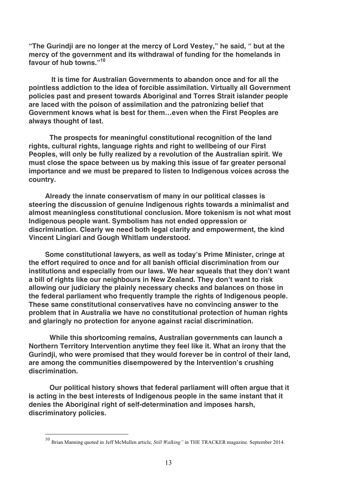**"The Gurindji are no longer at the mercy of Lord Vestey," he said, " but at the mercy of the government and its withdrawal of funding for the homelands in favour of hub towns."<sup>10</sup>**

**It is time for Australian Governments to abandon once and for all the pointless addiction to the idea of forcible assimilation. Virtually all Government policies past and present towards Aboriginal and Torres Strait islander people are laced with the poison of assimilation and the patronizing belief that Government knows what is best for them…even when the First Peoples are always thought of last.**

**The prospects for meaningful constitutional recognition of the land rights, cultural rights, language rights and right to wellbeing of our First Peoples, will only be fully realized by a revolution of the Australian spirit. We must close the space between us by making this issue of far greater personal importance and we must be prepared to listen to Indigenous voices across the country.** 

**Already the innate conservatism of many in our political classes is steering the discussion of genuine Indigenous rights towards a minimalist and almost meaningless constitutional conclusion. More tokenism is not what most Indigenous people want. Symbolism has not ended oppression or discrimination. Clearly we need both legal clarity and empowerment, the kind Vincent Lingiari and Gough Whitlam understood.**

**Some constitutional lawyers, as well as today's Prime Minister, cringe at the effort required to once and for all banish official discrimination from our institutions and especially from our laws. We hear squeals that they don't want a bill of rights like our neighbours in New Zealand. They don't want to risk allowing our judiciary the plainly necessary checks and balances on those in the federal parliament who frequently trample the rights of Indigenous people. These same constitutional conservatives have no convincing answer to the problem that in Australia we have no constitutional protection of human rights and glaringly no protection for anyone against racial discrimination.**

**While this shortcoming remains, Australian governments can launch a Northern Territory Intervention anytime they feel like it. What an irony that the Gurindji, who were promised that they would forever be in control of their land, are among the communities disempowered by the Intervention's crushing discrimination.** 

**Our political history shows that federal parliament will often argue that it is acting in the best interests of Indigenous people in the same instant that it denies the Aboriginal right of self-determination and imposes harsh, discriminatory policies.** 

 <sup>10</sup> Brian Manning quoted in Jeff McMullen article, *Still Walking"* in THE TRACKER magazine. September 2014.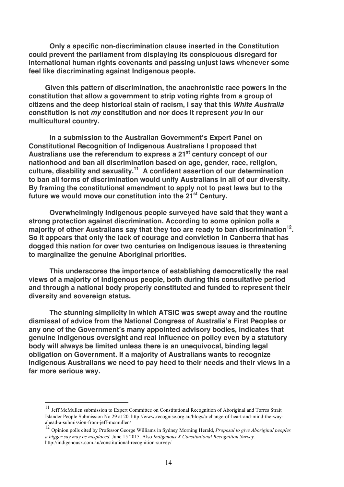**Only a specific non-discrimination clause inserted in the Constitution could prevent the parliament from displaying its conspicuous disregard for international human rights covenants and passing unjust laws whenever some feel like discriminating against Indigenous people.** 

**Given this pattern of discrimination, the anachronistic race powers in the constitution that allow a government to strip voting rights from a group of citizens and the deep historical stain of racism, I say that this** *White Australia*  **constitution is not** *my* **constitution and nor does it represent** *you* **in our multicultural country.**

**In a submission to the Australian Government's Expert Panel on Constitutional Recognition of Indigenous Australians I proposed that**  Australians use the referendum to express a 21<sup>st</sup> century concept of our **nationhood and ban all discrimination based on age, gender, race, religion, culture, disability and sexuality.11 A confident assertion of our determination to ban all forms of discrimination would unify Australians in all of our diversity. By framing the constitutional amendment to apply not to past laws but to the future we would move our constitution into the 21st Century.**

**Overwhelmingly Indigenous people surveyed have said that they want a strong protection against discrimination. According to some opinion polls a**  majority of other Australians say that they too are ready to ban discrimination<sup>12</sup>. **So it appears that only the lack of courage and conviction in Canberra that has dogged this nation for over two centuries on Indigenous issues is threatening to marginalize the genuine Aboriginal priorities.** 

**This underscores the importance of establishing democratically the real views of a majority of Indigenous people, both during this consultative period and through a national body properly constituted and funded to represent their diversity and sovereign status.**

**The stunning simplicity in which ATSIC was swept away and the routine dismissal of advice from the National Congress of Australia's First Peoples or any one of the Government's many appointed advisory bodies, indicates that genuine Indigenous oversight and real influence on policy even by a statutory body will always be limited unless there is an unequivocal, binding legal obligation on Government. If a majority of Australians wants to recognize Indigenous Australians we need to pay heed to their needs and their views in a far more serious way.**

 <sup>11</sup> Jeff McMullen submission to Expert Committee on Constitutional Recognition of Aboriginal and Torres Strait Islander People Submission No 29 at 20. http://www.recognise.org.au/blogs/a-change-of-heart-and-mind-the-wayahead-a-submission-from-jeff-mcmullen/

<sup>12</sup> Opinion polls cited by Professor George Williams in Sydney Morning Herald, *Proposal to give Aboriginal peoples a bigger say may be misplaced.* June 15 2015. Also *Indigenous X Constitutional Recognition Survey.* http://indigenousx.com.au/constitutional-recognition-survey/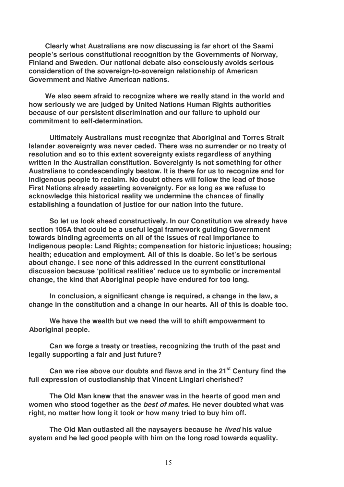**Clearly what Australians are now discussing is far short of the Saami people's serious constitutional recognition by the Governments of Norway, Finland and Sweden. Our national debate also consciously avoids serious consideration of the sovereign-to-sovereign relationship of American Government and Native American nations.** 

**We also seem afraid to recognize where we really stand in the world and how seriously we are judged by United Nations Human Rights authorities because of our persistent discrimination and our failure to uphold our commitment to self-determination.**

**Ultimately Australians must recognize that Aboriginal and Torres Strait Islander sovereignty was never ceded. There was no surrender or no treaty of resolution and so to this extent sovereignty exists regardless of anything written in the Australian constitution. Sovereignty is not something for other Australians to condescendingly bestow. It is there for us to recognize and for Indigenous people to reclaim. No doubt others will follow the lead of those First Nations already asserting sovereignty. For as long as we refuse to acknowledge this historical reality we undermine the chances of finally establishing a foundation of justice for our nation into the future.**

**So let us look ahead constructively. In our Constitution we already have section 105A that could be a useful legal framework guiding Government towards binding agreements on all of the issues of real importance to Indigenous people: Land Rights; compensation for historic injustices; housing; health; education and employment. All of this is doable. So let's be serious about change. I see none of this addressed in the current constitutional discussion because ʻpolitical realities' reduce us to symbolic or incremental change, the kind that Aboriginal people have endured for too long.** 

**In conclusion, a significant change is required, a change in the law, a change in the constitution and a change in our hearts. All of this is doable too.**

**We have the wealth but we need the will to shift empowerment to Aboriginal people.**

**Can we forge a treaty or treaties, recognizing the truth of the past and legally supporting a fair and just future?** 

**Can we rise above our doubts and flaws and in the 21st Century find the full expression of custodianship that Vincent Lingiari cherished?** 

**The Old Man knew that the answer was in the hearts of good men and women who stood together as the** *best of mates***. He never doubted what was right, no matter how long it took or how many tried to buy him off.** 

**The Old Man outlasted all the naysayers because he** *lived* **his value system and he led good people with him on the long road towards equality.**